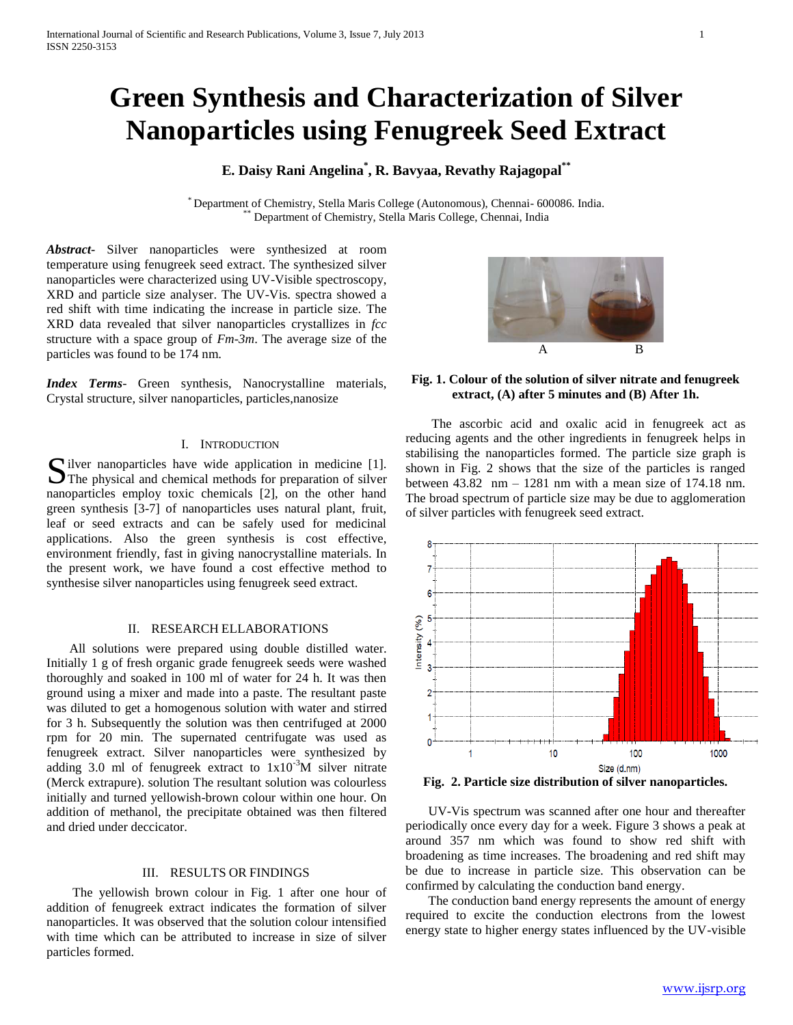# **Green Synthesis and Characterization of Silver Nanoparticles using Fenugreek Seed Extract**

# **E. Daisy Rani Angelina\* , R. Bavyaa, Revathy Rajagopal\*\***

\* Department of Chemistry, Stella Maris College (Autonomous), Chennai- 600086. India. Department of Chemistry, Stella Maris College, Chennai, India

*Abstract***-** Silver nanoparticles were synthesized at room temperature using fenugreek seed extract. The synthesized silver nanoparticles were characterized using UV-Visible spectroscopy, XRD and particle size analyser. The UV-Vis. spectra showed a red shift with time indicating the increase in particle size. The XRD data revealed that silver nanoparticles crystallizes in *fcc* structure with a space group of *Fm-3m*. The average size of the particles was found to be 174 nm.

*Index Terms*- Green synthesis, Nanocrystalline materials, Crystal structure, silver nanoparticles, particles,nanosize

# I. INTRODUCTION

 $\bigcap$  ilver nanoparticles have wide application in medicine [1]. Silver nanoparticles have wide application in medicine [1].<br>The physical and chemical methods for preparation of silver nanoparticles employ toxic chemicals [2], on the other hand green synthesis [3-7] of nanoparticles uses natural plant, fruit, leaf or seed extracts and can be safely used for medicinal applications. Also the green synthesis is cost effective, environment friendly, fast in giving nanocrystalline materials. In the present work, we have found a cost effective method to synthesise silver nanoparticles using fenugreek seed extract.

# II. RESEARCH ELLABORATIONS

 All solutions were prepared using double distilled water. Initially 1 g of fresh organic grade fenugreek seeds were washed thoroughly and soaked in 100 ml of water for 24 h. It was then ground using a mixer and made into a paste. The resultant paste was diluted to get a homogenous solution with water and stirred for 3 h. Subsequently the solution was then centrifuged at 2000 rpm for 20 min. The supernated centrifugate was used as fenugreek extract. Silver nanoparticles were synthesized by adding 3.0 ml of fenugreek extract to  $1x10^{-3}$ M silver nitrate (Merck extrapure). solution The resultant solution was colourless initially and turned yellowish-brown colour within one hour. On addition of methanol, the precipitate obtained was then filtered and dried under deccicator.

#### III. RESULTS OR FINDINGS

 The yellowish brown colour in Fig. 1 after one hour of addition of fenugreek extract indicates the formation of silver nanoparticles. It was observed that the solution colour intensified with time which can be attributed to increase in size of silver particles formed.



# **Fig. 1. Colour of the solution of silver nitrate and fenugreek extract, (A) after 5 minutes and (B) After 1h.**

 The ascorbic acid and oxalic acid in fenugreek act as reducing agents and the other ingredients in fenugreek helps in stabilising the nanoparticles formed. The particle size graph is shown in Fig. 2 shows that the size of the particles is ranged between 43.82 nm – 1281 nm with a mean size of 174.18 nm. The broad spectrum of particle size may be due to agglomeration of silver particles with fenugreek seed extract.



**Fig. 2. Particle size distribution of silver nanoparticles.**

 UV-Vis spectrum was scanned after one hour and thereafter periodically once every day for a week. Figure 3 shows a peak at around 357 nm which was found to show red shift with broadening as time increases. The broadening and red shift may be due to increase in particle size. This observation can be confirmed by calculating the conduction band energy.

 The conduction band energy represents the amount of energy required to excite the conduction electrons from the lowest energy state to higher energy states influenced by the UV-visible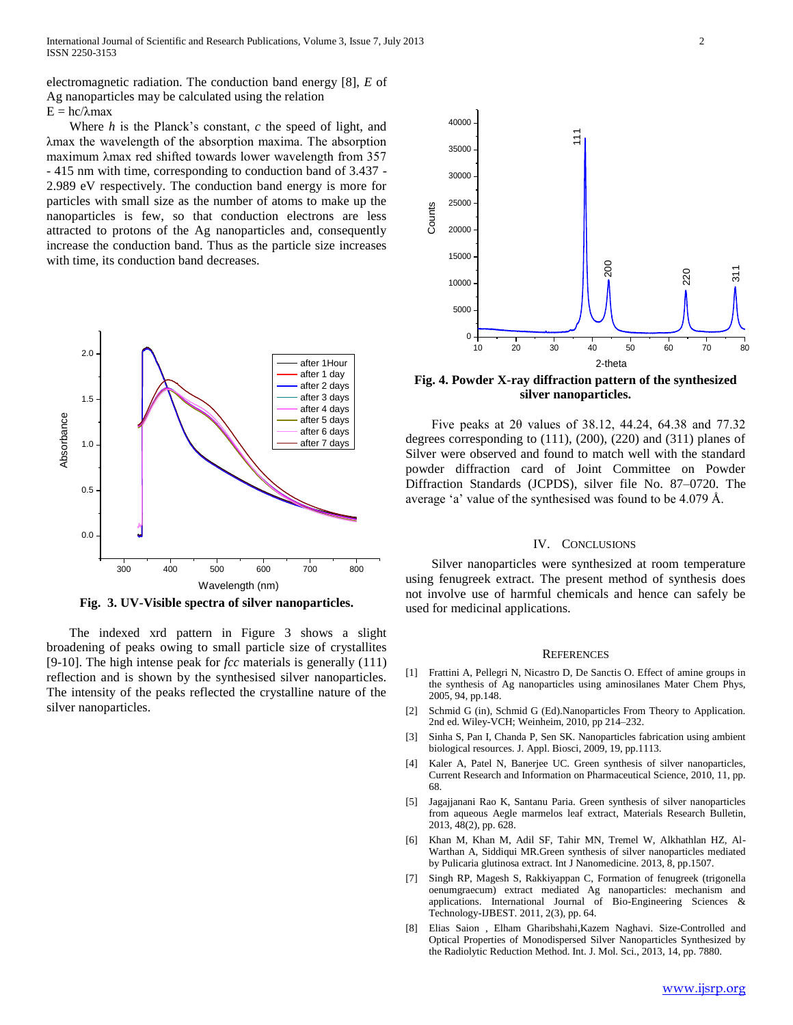electromagnetic radiation. The conduction band energy [8], *E* of Ag nanoparticles may be calculated using the relation  $E = hc/λmax$ 

 Where *h* is the Planck's constant, *c* the speed of light, and λmax the wavelength of the absorption maxima. The absorption maximum λmax red shifted towards lower wavelength from 357 - 415 nm with time, corresponding to conduction band of 3.437 - 2.989 eV respectively. The conduction band energy is more for particles with small size as the number of atoms to make up the nanoparticles is few, so that conduction electrons are less attracted to protons of the Ag nanoparticles and, consequently increase the conduction band. Thus as the particle size increases with time, its conduction band decreases.



**Fig. 3. UV-Visible spectra of silver nanoparticles.**

 The indexed xrd pattern in Figure 3 shows a slight broadening of peaks owing to small particle size of crystallites [9-10]. The high intense peak for *fcc* materials is generally (111) reflection and is shown by the synthesised silver nanoparticles. The intensity of the peaks reflected the crystalline nature of the silver nanoparticles.



**Fig. 4. Powder X-ray diffraction pattern of the synthesized silver nanoparticles.**

 Five peaks at 2θ values of 38.12, 44.24, 64.38 and 77.32 degrees corresponding to (111), (200), (220) and (311) planes of Silver were observed and found to match well with the standard powder diffraction card of Joint Committee on Powder Diffraction Standards (JCPDS), silver file No. 87–0720. The average 'a' value of the synthesised was found to be 4.079 Å.

#### IV. CONCLUSIONS

 Silver nanoparticles were synthesized at room temperature using fenugreek extract. The present method of synthesis does not involve use of harmful chemicals and hence can safely be used for medicinal applications.

#### **REFERENCES**

- [1] Frattini A, Pellegri N, Nicastro D, De Sanctis O. Effect of amine groups in the synthesis of Ag nanoparticles using aminosilanes Mater Chem Phys, 2005, 94, pp.148.
- [2] Schmid G (in), Schmid G (Ed).Nanoparticles From Theory to Application. 2nd ed. Wiley-VCH; Weinheim, 2010, pp 214–232.
- [3] Sinha S, Pan I, Chanda P, Sen SK. Nanoparticles fabrication using ambient biological resources. J. Appl. Biosci, 2009, 19, pp.1113.
- [4] Kaler A, Patel N, Banerjee UC. Green synthesis of silver nanoparticles, Current Research and Information on Pharmaceutical Science, 2010, 11, pp. 68.
- [5] Jagajjanani Rao K, Santanu Paria. Green synthesis of silver nanoparticles from aqueous Aegle marmelos leaf extract, Materials Research Bulletin, 2013, 48(2), pp. 628.
- [6] Khan M, Khan M, Adil SF, Tahir MN, Tremel W, Alkhathlan HZ, Al-Warthan A, Siddiqui MR.Green synthesis of silver nanoparticles mediated by Pulicaria glutinosa extract. Int J Nanomedicine. 2013, 8, pp.1507.
- [7] Singh RP, Magesh S, Rakkiyappan C, Formation of fenugreek (trigonella oenumgraecum) extract mediated Ag nanoparticles: mechanism and applications. International Journal of Bio-Engineering Sciences & Technology-IJBEST. 2011, 2(3), pp. 64.
- [8] Elias Saion , Elham Gharibshahi,Kazem Naghavi. Size-Controlled and Optical Properties of Monodispersed Silver Nanoparticles Synthesized by the Radiolytic Reduction Method. Int. J. Mol. Sci., 2013, 14, pp. 7880.